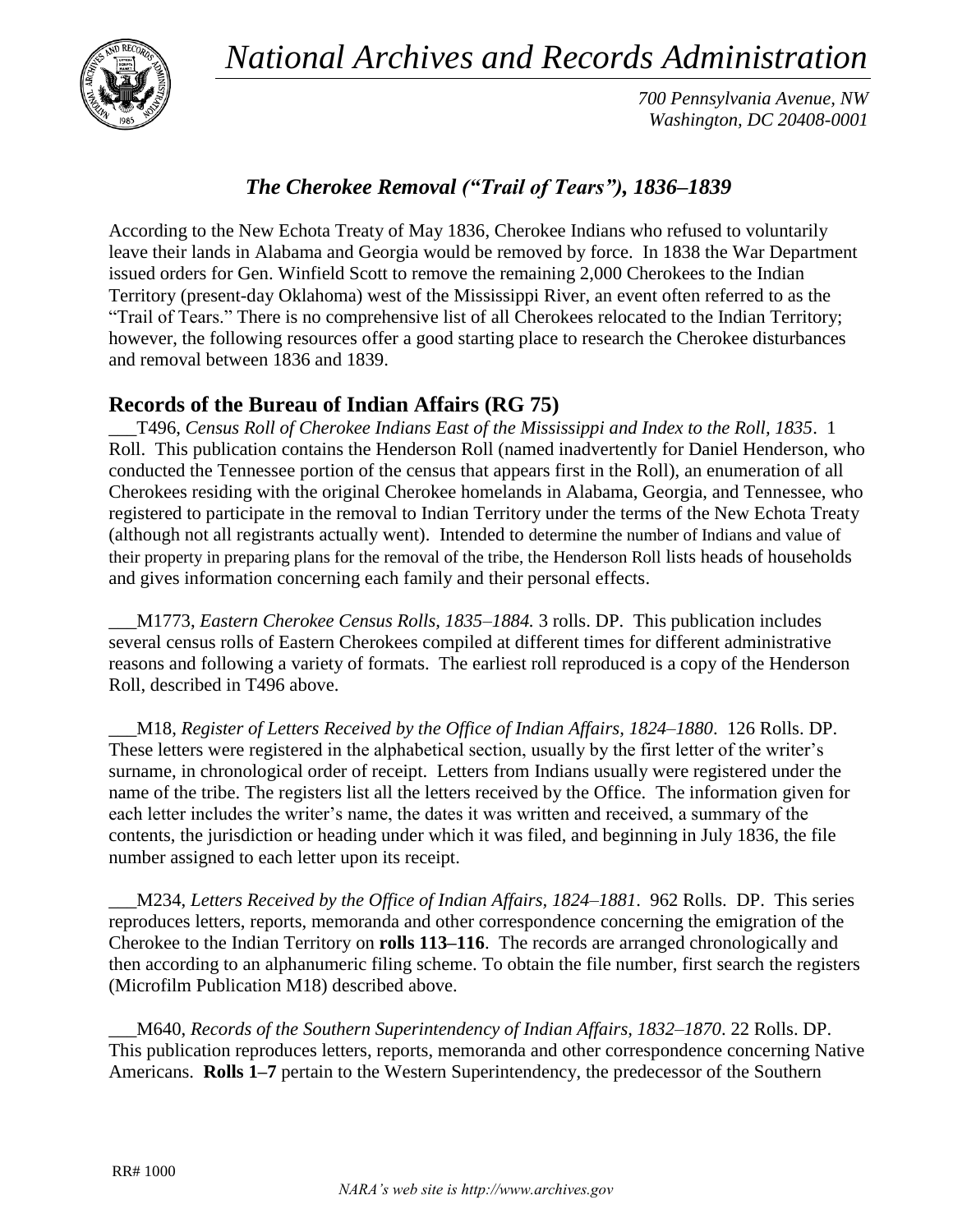*National Archives and Records Administration*



*700 Pennsylvania Avenue, NW Washington, DC 20408-0001*

# *The Cherokee Removal ("Trail of Tears"), 1836–1839*

According to the New Echota Treaty of May 1836, Cherokee Indians who refused to voluntarily leave their lands in Alabama and Georgia would be removed by force. In 1838 the War Department issued orders for Gen. Winfield Scott to remove the remaining 2,000 Cherokees to the Indian Territory (present-day Oklahoma) west of the Mississippi River, an event often referred to as the "Trail of Tears." There is no comprehensive list of all Cherokees relocated to the Indian Territory; however, the following resources offer a good starting place to research the Cherokee disturbances and removal between 1836 and 1839.

## **Records of the Bureau of Indian Affairs (RG 75)**

\_\_\_T496, *Census Roll of Cherokee Indians East of the Mississippi and Index to the Roll, 1835*. 1 Roll. This publication contains the Henderson Roll (named inadvertently for Daniel Henderson, who conducted the Tennessee portion of the census that appears first in the Roll), an enumeration of all Cherokees residing with the original Cherokee homelands in Alabama, Georgia, and Tennessee, who registered to participate in the removal to Indian Territory under the terms of the New Echota Treaty (although not all registrants actually went). Intended to determine the number of Indians and value of their property in preparing plans for the removal of the tribe, the Henderson Roll lists heads of households and gives information concerning each family and their personal effects.

\_\_\_M1773, *Eastern Cherokee Census Rolls, 1835–1884.* 3 rolls. DP. This publication includes several census rolls of Eastern Cherokees compiled at different times for different administrative reasons and following a variety of formats. The earliest roll reproduced is a copy of the Henderson Roll, described in T496 above.

\_\_\_M18, *Register of Letters Received by the Office of Indian Affairs, 1824–1880*. 126 Rolls. DP. These letters were registered in the alphabetical section, usually by the first letter of the writer's surname, in chronological order of receipt. Letters from Indians usually were registered under the name of the tribe. The registers list all the letters received by the Office. The information given for each letter includes the writer's name, the dates it was written and received, a summary of the contents, the jurisdiction or heading under which it was filed, and beginning in July 1836, the file number assigned to each letter upon its receipt.

\_\_\_M234, *Letters Received by the Office of Indian Affairs, 1824–1881*. 962 Rolls. DP. This series reproduces letters, reports, memoranda and other correspondence concerning the emigration of the Cherokee to the Indian Territory on **rolls 113–116**. The records are arranged chronologically and then according to an alphanumeric filing scheme. To obtain the file number, first search the registers (Microfilm Publication M18) described above.

\_\_\_M640, *Records of the Southern Superintendency of Indian Affairs, 1832–1870*. 22 Rolls. DP. This publication reproduces letters, reports, memoranda and other correspondence concerning Native Americans. **Rolls 1–7** pertain to the Western Superintendency, the predecessor of the Southern